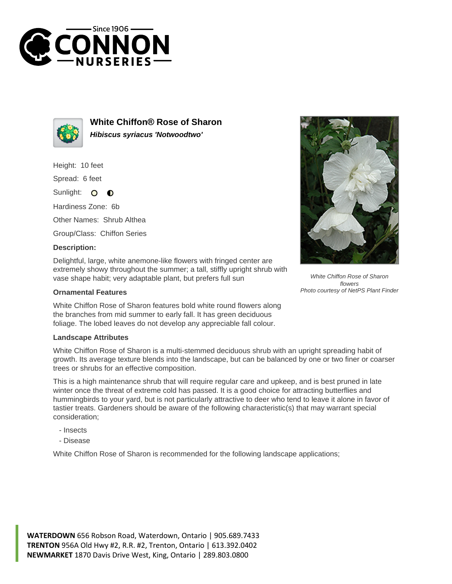



**White Chiffon® Rose of Sharon Hibiscus syriacus 'Notwoodtwo'**

Height: 10 feet

Spread: 6 feet

Sunlight: O  $\bullet$ 

Hardiness Zone: 6b

Other Names: Shrub Althea

Group/Class: Chiffon Series

## **Description:**

Delightful, large, white anemone-like flowers with fringed center are extremely showy throughout the summer; a tall, stiffly upright shrub with vase shape habit; very adaptable plant, but prefers full sun

## **Ornamental Features**

White Chiffon Rose of Sharon features bold white round flowers along the branches from mid summer to early fall. It has green deciduous foliage. The lobed leaves do not develop any appreciable fall colour.

## **Landscape Attributes**

White Chiffon Rose of Sharon is a multi-stemmed deciduous shrub with an upright spreading habit of growth. Its average texture blends into the landscape, but can be balanced by one or two finer or coarser trees or shrubs for an effective composition.

This is a high maintenance shrub that will require regular care and upkeep, and is best pruned in late winter once the threat of extreme cold has passed. It is a good choice for attracting butterflies and hummingbirds to your yard, but is not particularly attractive to deer who tend to leave it alone in favor of tastier treats. Gardeners should be aware of the following characteristic(s) that may warrant special consideration;

- Insects

- Disease

White Chiffon Rose of Sharon is recommended for the following landscape applications;



White Chiffon Rose of Sharon flowers Photo courtesy of NetPS Plant Finder